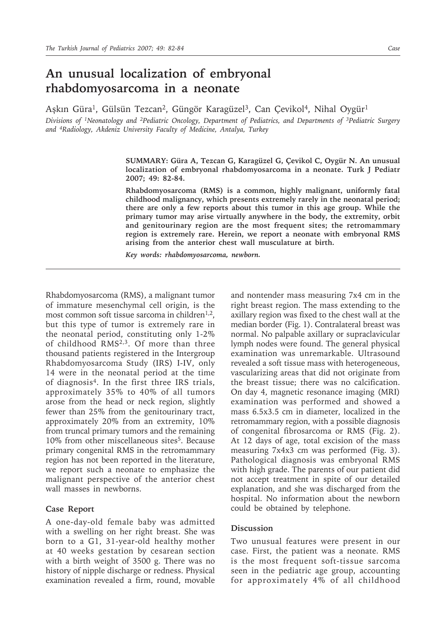## **An unusual localization of embryonal rhabdomyosarcoma in a neonate**

Aşkın Güra<sup>1</sup>, Gülsün Tezcan<sup>2</sup>, Güngör Karagüzel<sup>3</sup>, Can Çevikol<sup>4</sup>, Nihal Oygür<sup>1</sup>

*Divisions of 1Neonatology and 2Pediatric Oncology, Department of Pediatrics, and Departments of 3Pediatric Surgery and 4Radiology, Akdeniz University Faculty of Medicine, Antalya, Turkey*

> **SUMMARY: Güra A, Tezcan G, Karagüzel G, Çevikol C, Oygür N. An unusual localization of embryonal rhabdomyosarcoma in a neonate. Turk J Pediatr 2007; 49: 82-84.**

> **Rhabdomyosarcoma (RMS) is a common, highly malignant, uniformly fatal childhood malignancy, which presents extremely rarely in the neonatal period; there are only a few reports about this tumor in this age group. While the primary tumor may arise virtually anywhere in the body, the extremity, orbit and genitourinary region are the most frequent sites; the retromammary region is extremely rare. Herein, we report a neonate with embryonal RMS arising from the anterior chest wall musculature at birth.**

*Key words: rhabdomyosarcoma, newborn.*

Rhabdomyosarcoma (RMS), a malignant tumor of immature mesenchymal cell origin, is the most common soft tissue sarcoma in children<sup>1,2</sup>, but this type of tumor is extremely rare in the neonatal period, constituting only 1-2% of childhood RMS2,3. Of more than three thousand patients registered in the Intergroup Rhabdomyosarcoma Study (IRS) I-IV, only 14 were in the neonatal period at the time of diagnosis4. In the first three IRS trials, approximately 35% to 40% of all tumors arose from the head or neck region, slightly fewer than 25% from the genitourinary tract, approximately 20% from an extremity, 10% from truncal primary tumors and the remaining 10% from other miscellaneous sites<sup>5</sup>. Because primary congenital RMS in the retromammary region has not been reported in the literature, we report such a neonate to emphasize the malignant perspective of the anterior chest wall masses in newborns.

## **Case Report**

A one-day-old female baby was admitted with a swelling on her right breast. She was born to a G1, 31-year-old healthy mother at 40 weeks gestation by cesarean section with a birth weight of 3500 g. There was no history of nipple discharge or redness. Physical examination revealed a firm, round, movable and nontender mass measuring 7x4 cm in the right breast region. The mass extending to the axillary region was fixed to the chest wall at the median border (Fig. 1). Contralateral breast was normal. No palpable axillary or supraclavicular lymph nodes were found. The general physical examination was unremarkable. Ultrasound revealed a soft tissue mass with heterogeneous, vascularizing areas that did not originate from the breast tissue; there was no calcification. On day 4, magnetic resonance imaging (MRI) examination was performed and showed a mass 6.5x3.5 cm in diameter, localized in the retromammary region, with a possible diagnosis of congenital fibrosarcoma or RMS (Fig. 2). At 12 days of age, total excision of the mass measuring 7x4x3 cm was performed (Fig. 3). Pathological diagnosis was embryonal RMS with high grade. The parents of our patient did not accept treatment in spite of our detailed explanation, and she was discharged from the hospital. No information about the newborn could be obtained by telephone.

## **Discussion**

Two unusual features were present in our case. First, the patient was a neonate. RMS is the most frequent soft-tissue sarcoma seen in the pediatric age group, accounting for approximately 4% of all childhood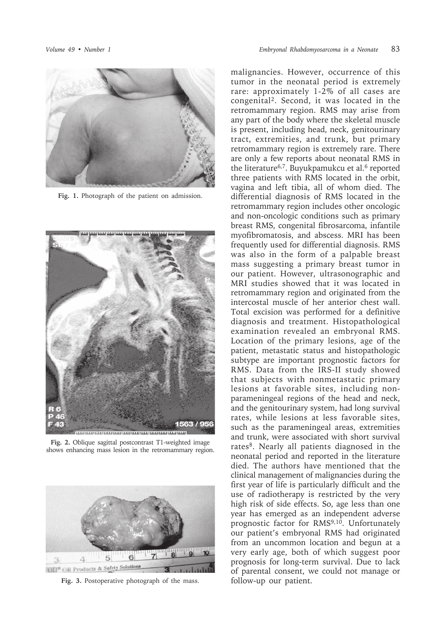

**Fig. 1.** Photograph of the patient on admission.



**Fig. 2.** Oblique sagittal postcontrast T1-weighted image shows enhancing mass lesion in the retromammary region.



**Fig. 3.** Postoperative photograph of the mass.

malignancies. However, occurrence of this tumor in the neonatal period is extremely rare: approximately 1-2% of all cases are congenital2. Second, it was located in the retromammary region. RMS may arise from any part of the body where the skeletal muscle is present, including head, neck, genitourinary tract, extremities, and trunk, but primary retromammary region is extremely rare. There are only a few reports about neonatal RMS in the literature<sup>6,7</sup>. Buyukpamukcu et al.<sup>6</sup> reported three patients with RMS located in the orbit, vagina and left tibia, all of whom died. The differential diagnosis of RMS located in the retromammary region includes other oncologic and non-oncologic conditions such as primary breast RMS, congenital fibrosarcoma, infantile myofibromatosis, and abscess. MRI has been frequently used for differential diagnosis. RMS was also in the form of a palpable breast mass suggesting a primary breast tumor in our patient. However, ultrasonographic and MRI studies showed that it was located in retromammary region and originated from the intercostal muscle of her anterior chest wall. Total excision was performed for a definitive diagnosis and treatment. Histopathological examination revealed an embryonal RMS. Location of the primary lesions, age of the patient, metastatic status and histopathologic subtype are important prognostic factors for RMS. Data from the IRS-II study showed that subjects with nonmetastatic primary lesions at favorable sites, including nonparameningeal regions of the head and neck, and the genitourinary system, had long survival rates, while lesions at less favorable sites, such as the parameningeal areas, extremities and trunk, were associated with short survival rates<sup>8</sup>. Nearly all patients diagnosed in the neonatal period and reported in the literature died. The authors have mentioned that the clinical management of malignancies during the first year of life is particularly difficult and the use of radiotherapy is restricted by the very high risk of side effects. So, age less than one year has emerged as an independent adverse prognostic factor for RMS9,10. Unfortunately our patient's embryonal RMS had originated from an uncommon location and begun at a very early age, both of which suggest poor prognosis for long-term survival. Due to lack of parental consent, we could not manage or follow-up our patient.